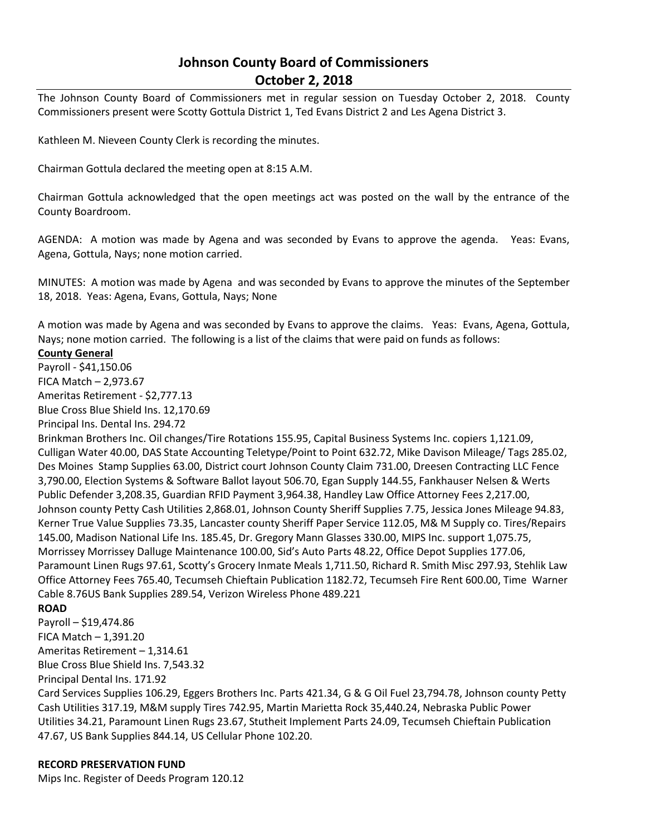# **Johnson County Board of Commissioners October 2, 2018**

The Johnson County Board of Commissioners met in regular session on Tuesday October 2, 2018. County Commissioners present were Scotty Gottula District 1, Ted Evans District 2 and Les Agena District 3.

Kathleen M. Nieveen County Clerk is recording the minutes.

Chairman Gottula declared the meeting open at 8:15 A.M.

Chairman Gottula acknowledged that the open meetings act was posted on the wall by the entrance of the County Boardroom.

AGENDA: A motion was made by Agena and was seconded by Evans to approve the agenda. Yeas: Evans, Agena, Gottula, Nays; none motion carried.

MINUTES: A motion was made by Agena and was seconded by Evans to approve the minutes of the September 18, 2018. Yeas: Agena, Evans, Gottula, Nays; None

A motion was made by Agena and was seconded by Evans to approve the claims. Yeas: Evans, Agena, Gottula, Nays; none motion carried. The following is a list of the claims that were paid on funds as follows:

### **County General**

Payroll - \$41,150.06 FICA Match – 2,973.67 Ameritas Retirement - \$2,777.13 Blue Cross Blue Shield Ins. 12,170.69

Principal Ins. Dental Ins. 294.72

Brinkman Brothers Inc. Oil changes/Tire Rotations 155.95, Capital Business Systems Inc. copiers 1,121.09, Culligan Water 40.00, DAS State Accounting Teletype/Point to Point 632.72, Mike Davison Mileage/ Tags 285.02, Des Moines Stamp Supplies 63.00, District court Johnson County Claim 731.00, Dreesen Contracting LLC Fence 3,790.00, Election Systems & Software Ballot layout 506.70, Egan Supply 144.55, Fankhauser Nelsen & Werts Public Defender 3,208.35, Guardian RFID Payment 3,964.38, Handley Law Office Attorney Fees 2,217.00, Johnson county Petty Cash Utilities 2,868.01, Johnson County Sheriff Supplies 7.75, Jessica Jones Mileage 94.83, Kerner True Value Supplies 73.35, Lancaster county Sheriff Paper Service 112.05, M& M Supply co. Tires/Repairs 145.00, Madison National Life Ins. 185.45, Dr. Gregory Mann Glasses 330.00, MIPS Inc. support 1,075.75, Morrissey Morrissey Dalluge Maintenance 100.00, Sid's Auto Parts 48.22, Office Depot Supplies 177.06, Paramount Linen Rugs 97.61, Scotty's Grocery Inmate Meals 1,711.50, Richard R. Smith Misc 297.93, Stehlik Law Office Attorney Fees 765.40, Tecumseh Chieftain Publication 1182.72, Tecumseh Fire Rent 600.00, Time Warner Cable 8.76US Bank Supplies 289.54, Verizon Wireless Phone 489.221

## **ROAD**

Payroll – \$19,474.86 FICA Match – 1,391.20 Ameritas Retirement – 1,314.61 Blue Cross Blue Shield Ins. 7,543.32 Principal Dental Ins. 171.92

Card Services Supplies 106.29, Eggers Brothers Inc. Parts 421.34, G & G Oil Fuel 23,794.78, Johnson county Petty Cash Utilities 317.19, M&M supply Tires 742.95, Martin Marietta Rock 35,440.24, Nebraska Public Power Utilities 34.21, Paramount Linen Rugs 23.67, Stutheit Implement Parts 24.09, Tecumseh Chieftain Publication 47.67, US Bank Supplies 844.14, US Cellular Phone 102.20.

#### **RECORD PRESERVATION FUND**

Mips Inc. Register of Deeds Program 120.12